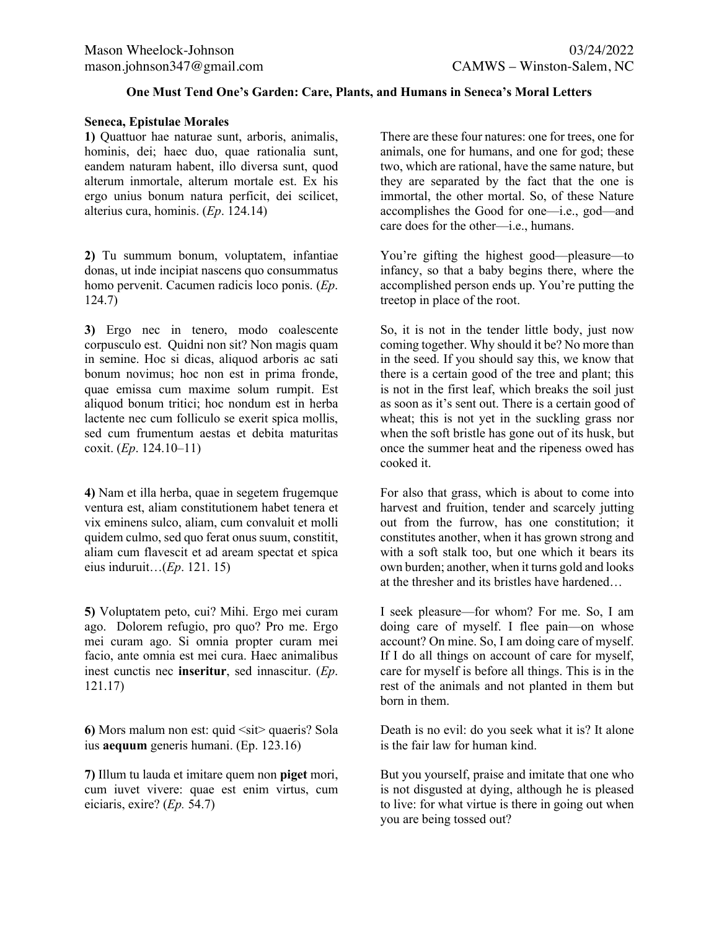# **One Must Tend One's Garden: Care, Plants, and Humans in Seneca's Moral Letters**

### **Seneca, Epistulae Morales**

**1)** Quattuor hae naturae sunt, arboris, animalis, hominis, dei; haec duo, quae rationalia sunt, eandem naturam habent, illo diversa sunt, quod alterum inmortale, alterum mortale est. Ex his ergo unius bonum natura perficit, dei scilicet, alterius cura, hominis. (*Ep*. 124.14)

**2)** Tu summum bonum, voluptatem, infantiae donas, ut inde incipiat nascens quo consummatus homo pervenit. Cacumen radicis loco ponis. (*Ep*. 124.7)

**3)** Ergo nec in tenero, modo coalescente corpusculo est. Quidni non sit? Non magis quam in semine. Hoc si dicas, aliquod arboris ac sati bonum novimus; hoc non est in prima fronde, quae emissa cum maxime solum rumpit. Est aliquod bonum tritici; hoc nondum est in herba lactente nec cum folliculo se exerit spica mollis, sed cum frumentum aestas et debita maturitas coxit. (*Ep*. 124.10–11)

**4)** Nam et illa herba, quae in segetem frugemque ventura est, aliam constitutionem habet tenera et vix eminens sulco, aliam, cum convaluit et molli quidem culmo, sed quo ferat onus suum, constitit, aliam cum flavescit et ad aream spectat et spica eius induruit…(*Ep*. 121. 15)

**5)** Voluptatem peto, cui? Mihi. Ergo mei curam ago. Dolorem refugio, pro quo? Pro me. Ergo mei curam ago. Si omnia propter curam mei facio, ante omnia est mei cura. Haec animalibus inest cunctis nec **inseritur**, sed innascitur. (*Ep*. 121.17)

**6)** Mors malum non est: quid  $\leq$ sit quaeris? Sola ius **aequum** generis humani. (Ep. 123.16)

**7)** Illum tu lauda et imitare quem non **piget** mori, cum iuvet vivere: quae est enim virtus, cum eiciaris, exire? (*Ep.* 54.7)

There are these four natures: one for trees, one for animals, one for humans, and one for god; these two, which are rational, have the same nature, but they are separated by the fact that the one is immortal, the other mortal. So, of these Nature accomplishes the Good for one—i.e., god—and care does for the other—i.e., humans.

You're gifting the highest good—pleasure—to infancy, so that a baby begins there, where the accomplished person ends up. You're putting the treetop in place of the root.

So, it is not in the tender little body, just now coming together. Why should it be? No more than in the seed. If you should say this, we know that there is a certain good of the tree and plant; this is not in the first leaf, which breaks the soil just as soon as it's sent out. There is a certain good of wheat; this is not yet in the suckling grass nor when the soft bristle has gone out of its husk, but once the summer heat and the ripeness owed has cooked it.

For also that grass, which is about to come into harvest and fruition, tender and scarcely jutting out from the furrow, has one constitution; it constitutes another, when it has grown strong and with a soft stalk too, but one which it bears its own burden; another, when it turns gold and looks at the thresher and its bristles have hardened…

I seek pleasure—for whom? For me. So, I am doing care of myself. I flee pain—on whose account? On mine. So, I am doing care of myself. If I do all things on account of care for myself, care for myself is before all things. This is in the rest of the animals and not planted in them but born in them.

Death is no evil: do you seek what it is? It alone is the fair law for human kind.

But you yourself, praise and imitate that one who is not disgusted at dying, although he is pleased to live: for what virtue is there in going out when you are being tossed out?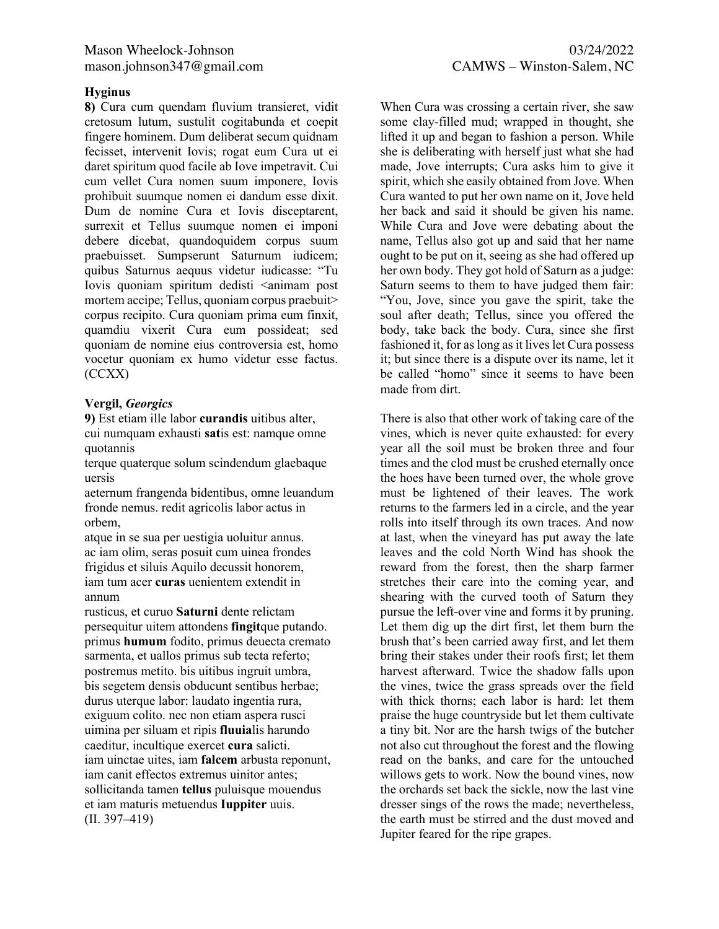### **Hyginus**

**8)** Cura cum quendam fluvium transieret, vidit cretosum lutum, sustulit cogitabunda et coepit fingere hominem. Dum deliberat secum quidnam fecisset, intervenit Iovis; rogat eum Cura ut ei daret spiritum quod facile ab Iove impetravit. Cui cum vellet Cura nomen suum imponere, Iovis prohibuit suumque nomen ei dandum esse dixit. Dum de nomine Cura et Iovis disceptarent, surrexit et Tellus suumque nomen ei imponi debere dicebat, quandoquidem corpus suum praebuisset. Sumpserunt Saturnum iudicem; quibus Saturnus aequus videtur iudicasse: "Tu Iovis quoniam spiritum dedisti <animam post mortem accipe; Tellus, quoniam corpus praebuit> corpus recipito. Cura quoniam prima eum finxit, quamdiu vixerit Cura eum possideat; sed quoniam de nomine eius controversia est, homo vocetur quoniam ex humo videtur esse factus. (CCXX)

# **Vergil,** *Georgics*

**9)** Est etiam ille labor **curandis** uitibus alter, cui numquam exhausti **sat**is est: namque omne quotannis

terque quaterque solum scindendum glaebaque uersis

aeternum frangenda bidentibus, omne leuandum fronde nemus. redit agricolis labor actus in orbem,

atque in se sua per uestigia uoluitur annus. ac iam olim, seras posuit cum uinea frondes frigidus et siluis Aquilo decussit honorem, iam tum acer **curas** uenientem extendit in annum

rusticus, et curuo **Saturni** dente relictam persequitur uitem attondens **fingit**que putando. primus **humum** fodito, primus deuecta cremato sarmenta, et uallos primus sub tecta referto; postremus metito. bis uitibus ingruit umbra, bis segetem densis obducunt sentibus herbae; durus uterque labor: laudato ingentia rura, exiguum colito. nec non etiam aspera rusci uimina per siluam et ripis **fluuia**lis harundo caeditur, incultique exercet **cura** salicti. iam uinctae uites, iam **falcem** arbusta reponunt, iam canit effectos extremus uinitor antes; sollicitanda tamen **tellus** puluisque mouendus et iam maturis metuendus **Iuppiter** uuis. (II. 397–419)

When Cura was crossing a certain river, she saw some clay-filled mud; wrapped in thought, she lifted it up and began to fashion a person. While she is deliberating with herself just what she had made, Jove interrupts; Cura asks him to give it spirit, which she easily obtained from Jove. When Cura wanted to put her own name on it, Jove held her back and said it should be given his name. While Cura and Jove were debating about the name, Tellus also got up and said that her name ought to be put on it, seeing as she had offered up her own body. They got hold of Saturn as a judge: Saturn seems to them to have judged them fair: "You, Jove, since you gave the spirit, take the soul after death; Tellus, since you offered the body, take back the body. Cura, since she first fashioned it, for as long as it lives let Cura possess it; but since there is a dispute over its name, let it be called "homo" since it seems to have been made from dirt.

There is also that other work of taking care of the vines, which is never quite exhausted: for every year all the soil must be broken three and four times and the clod must be crushed eternally once the hoes have been turned over, the whole grove must be lightened of their leaves. The work returns to the farmers led in a circle, and the year rolls into itself through its own traces. And now at last, when the vineyard has put away the late leaves and the cold North Wind has shook the reward from the forest, then the sharp farmer stretches their care into the coming year, and shearing with the curved tooth of Saturn they pursue the left-over vine and forms it by pruning. Let them dig up the dirt first, let them burn the brush that's been carried away first, and let them bring their stakes under their roofs first; let them harvest afterward. Twice the shadow falls upon the vines, twice the grass spreads over the field with thick thorns; each labor is hard: let them praise the huge countryside but let them cultivate a tiny bit. Nor are the harsh twigs of the butcher not also cut throughout the forest and the flowing read on the banks, and care for the untouched willows gets to work. Now the bound vines, now the orchards set back the sickle, now the last vine dresser sings of the rows the made; nevertheless, the earth must be stirred and the dust moved and Jupiter feared for the ripe grapes.